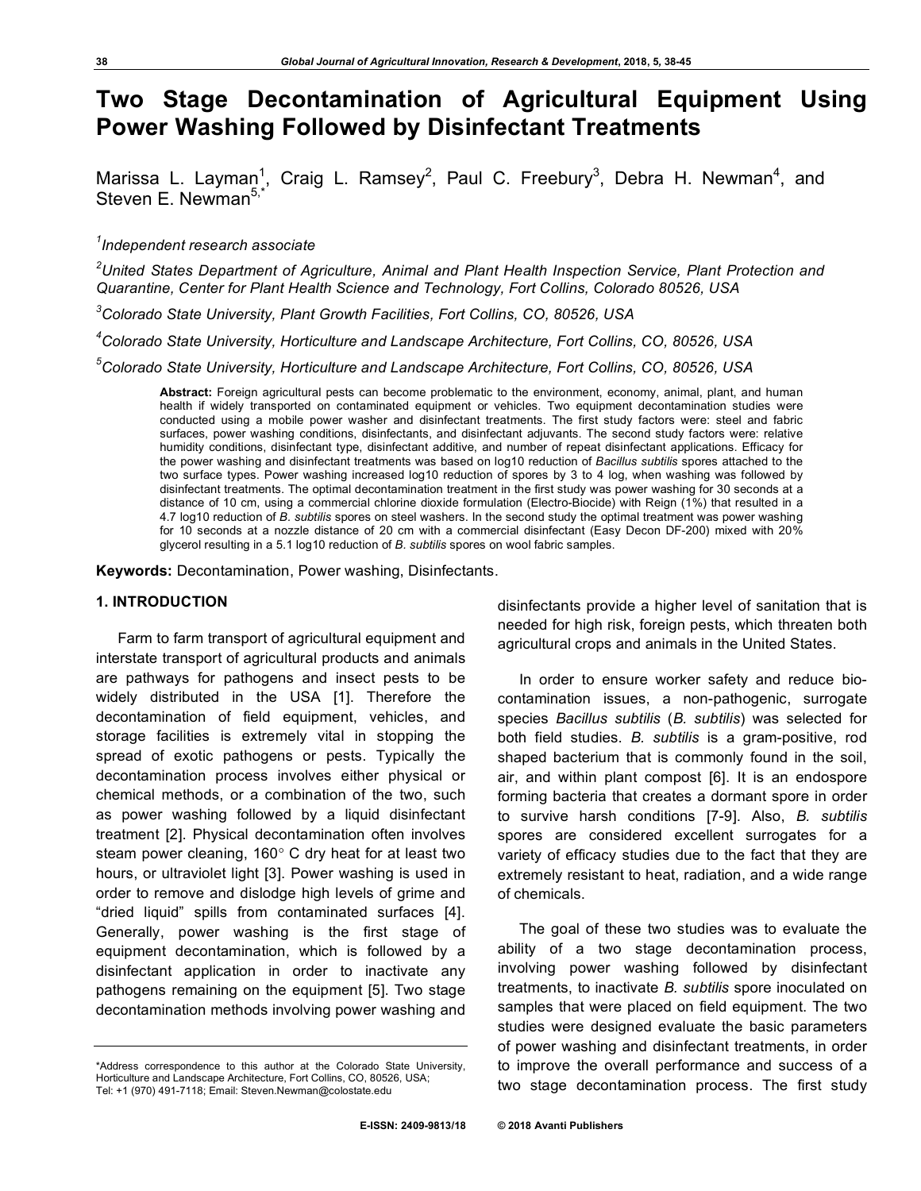# **Two Stage Decontamination of Agricultural Equipment Using Power Washing Followed by Disinfectant Treatments**

Marissa L. Layman<sup>1</sup>, Craig L. Ramsey<sup>2</sup>, Paul C. Freebury<sup>3</sup>, Debra H. Newman<sup>4</sup>, and Steven E. Newman<sup>5,</sup>

# *1 Independent research associate*

*2 United States Department of Agriculture, Animal and Plant Health Inspection Service, Plant Protection and Quarantine, Center for Plant Health Science and Technology, Fort Collins, Colorado 80526, USA*

*3 Colorado State University, Plant Growth Facilities, Fort Collins, CO, 80526, USA*

*4 Colorado State University, Horticulture and Landscape Architecture, Fort Collins, CO, 80526, USA*

*5 Colorado State University, Horticulture and Landscape Architecture, Fort Collins, CO, 80526, USA*

**Abstract:** Foreign agricultural pests can become problematic to the environment, economy, animal, plant, and human health if widely transported on contaminated equipment or vehicles. Two equipment decontamination studies were conducted using a mobile power washer and disinfectant treatments. The first study factors were: steel and fabric surfaces, power washing conditions, disinfectants, and disinfectant adjuvants. The second study factors were: relative humidity conditions, disinfectant type, disinfectant additive, and number of repeat disinfectant applications. Efficacy for the power washing and disinfectant treatments was based on log10 reduction of *Bacillus subtilis* spores attached to the two surface types. Power washing increased log10 reduction of spores by 3 to 4 log, when washing was followed by disinfectant treatments. The optimal decontamination treatment in the first study was power washing for 30 seconds at a distance of 10 cm, using a commercial chlorine dioxide formulation (Electro-Biocide) with Reign (1%) that resulted in a 4.7 log10 reduction of *B. subtilis* spores on steel washers. In the second study the optimal treatment was power washing for 10 seconds at a nozzle distance of 20 cm with a commercial disinfectant (Easy Decon DF-200) mixed with 20% glycerol resulting in a 5.1 log10 reduction of *B. subtilis* spores on wool fabric samples.

**Keywords:** Decontamination, Power washing, Disinfectants.

## **1. INTRODUCTION**

Farm to farm transport of agricultural equipment and interstate transport of agricultural products and animals are pathways for pathogens and insect pests to be widely distributed in the USA [1]. Therefore the decontamination of field equipment, vehicles, and storage facilities is extremely vital in stopping the spread of exotic pathogens or pests. Typically the decontamination process involves either physical or chemical methods, or a combination of the two, such as power washing followed by a liquid disinfectant treatment [2]. Physical decontamination often involves steam power cleaning, 160° C dry heat for at least two hours, or ultraviolet light [3]. Power washing is used in order to remove and dislodge high levels of grime and "dried liquid" spills from contaminated surfaces [4]. Generally, power washing is the first stage of equipment decontamination, which is followed by a disinfectant application in order to inactivate any pathogens remaining on the equipment [5]. Two stage decontamination methods involving power washing and

disinfectants provide a higher level of sanitation that is needed for high risk, foreign pests, which threaten both agricultural crops and animals in the United States.

In order to ensure worker safety and reduce biocontamination issues, a non-pathogenic, surrogate species *Bacillus subtilis* (*B. subtilis*) was selected for both field studies. *B. subtilis* is a gram-positive, rod shaped bacterium that is commonly found in the soil, air, and within plant compost [6]. It is an endospore forming bacteria that creates a dormant spore in order to survive harsh conditions [7-9]. Also, *B. subtilis* spores are considered excellent surrogates for a variety of efficacy studies due to the fact that they are extremely resistant to heat, radiation, and a wide range of chemicals.

The goal of these two studies was to evaluate the ability of a two stage decontamination process, involving power washing followed by disinfectant treatments, to inactivate *B. subtilis* spore inoculated on samples that were placed on field equipment. The two studies were designed evaluate the basic parameters of power washing and disinfectant treatments, in order to improve the overall performance and success of a two stage decontamination process. The first study

<sup>\*</sup>Address correspondence to this author at the Colorado State University, Horticulture and Landscape Architecture, Fort Collins, CO, 80526, USA; Tel: +1 (970) 491-7118; Email: Steven.Newman@colostate.edu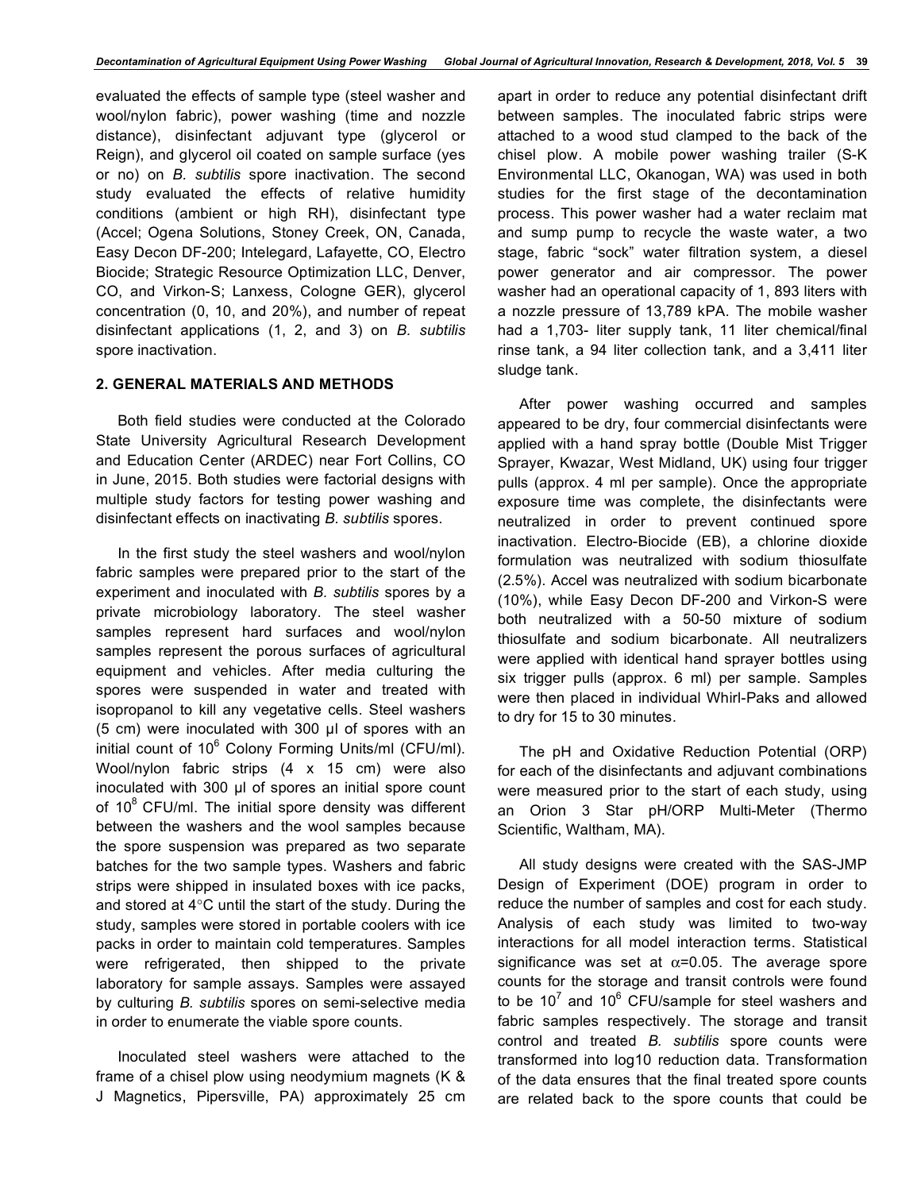evaluated the effects of sample type (steel washer and wool/nylon fabric), power washing (time and nozzle distance), disinfectant adjuvant type (glycerol or Reign), and glycerol oil coated on sample surface (yes or no) on *B. subtilis* spore inactivation. The second study evaluated the effects of relative humidity conditions (ambient or high RH), disinfectant type (Accel; Ogena Solutions, Stoney Creek, ON, Canada, Easy Decon DF-200; Intelegard, Lafayette, CO, Electro Biocide; Strategic Resource Optimization LLC, Denver, CO, and Virkon-S; Lanxess, Cologne GER), glycerol concentration (0, 10, and 20%), and number of repeat disinfectant applications (1, 2, and 3) on *B. subtilis* spore inactivation.

# **2. GENERAL MATERIALS AND METHODS**

Both field studies were conducted at the Colorado State University Agricultural Research Development and Education Center (ARDEC) near Fort Collins, CO in June, 2015. Both studies were factorial designs with multiple study factors for testing power washing and disinfectant effects on inactivating *B. subtilis* spores.

In the first study the steel washers and wool/nylon fabric samples were prepared prior to the start of the experiment and inoculated with *B. subtilis* spores by a private microbiology laboratory. The steel washer samples represent hard surfaces and wool/nylon samples represent the porous surfaces of agricultural equipment and vehicles. After media culturing the spores were suspended in water and treated with isopropanol to kill any vegetative cells. Steel washers (5 cm) were inoculated with 300 µl of spores with an initial count of 10<sup>6</sup> Colony Forming Units/ml (CFU/ml). Wool/nylon fabric strips (4 x 15 cm) were also inoculated with 300 µl of spores an initial spore count of  $10^8$  CFU/ml. The initial spore density was different between the washers and the wool samples because the spore suspension was prepared as two separate batches for the two sample types. Washers and fabric strips were shipped in insulated boxes with ice packs, and stored at 4°C until the start of the study. During the study, samples were stored in portable coolers with ice packs in order to maintain cold temperatures. Samples were refrigerated, then shipped to the private laboratory for sample assays. Samples were assayed by culturing *B. subtilis* spores on semi-selective media in order to enumerate the viable spore counts.

Inoculated steel washers were attached to the frame of a chisel plow using neodymium magnets (K & J Magnetics, Pipersville, PA) approximately 25 cm apart in order to reduce any potential disinfectant drift between samples. The inoculated fabric strips were attached to a wood stud clamped to the back of the chisel plow. A mobile power washing trailer (S-K Environmental LLC, Okanogan, WA) was used in both studies for the first stage of the decontamination process. This power washer had a water reclaim mat and sump pump to recycle the waste water, a two stage, fabric "sock" water filtration system, a diesel power generator and air compressor. The power washer had an operational capacity of 1, 893 liters with a nozzle pressure of 13,789 kPA. The mobile washer had a 1,703- liter supply tank, 11 liter chemical/final rinse tank, a 94 liter collection tank, and a 3,411 liter sludge tank.

After power washing occurred and samples appeared to be dry, four commercial disinfectants were applied with a hand spray bottle (Double Mist Trigger Sprayer, Kwazar, West Midland, UK) using four trigger pulls (approx. 4 ml per sample). Once the appropriate exposure time was complete, the disinfectants were neutralized in order to prevent continued spore inactivation. Electro-Biocide (EB), a chlorine dioxide formulation was neutralized with sodium thiosulfate (2.5%). Accel was neutralized with sodium bicarbonate (10%), while Easy Decon DF-200 and Virkon-S were both neutralized with a 50-50 mixture of sodium thiosulfate and sodium bicarbonate. All neutralizers were applied with identical hand sprayer bottles using six trigger pulls (approx. 6 ml) per sample. Samples were then placed in individual Whirl-Paks and allowed to dry for 15 to 30 minutes.

The pH and Oxidative Reduction Potential (ORP) for each of the disinfectants and adjuvant combinations were measured prior to the start of each study, using an Orion 3 Star pH/ORP Multi-Meter (Thermo Scientific, Waltham, MA).

All study designs were created with the SAS-JMP Design of Experiment (DOE) program in order to reduce the number of samples and cost for each study. Analysis of each study was limited to two-way interactions for all model interaction terms. Statistical significance was set at  $\alpha$ =0.05. The average spore counts for the storage and transit controls were found to be 10<sup>7</sup> and 10<sup>6</sup> CFU/sample for steel washers and fabric samples respectively. The storage and transit control and treated *B. subtilis* spore counts were transformed into log10 reduction data. Transformation of the data ensures that the final treated spore counts are related back to the spore counts that could be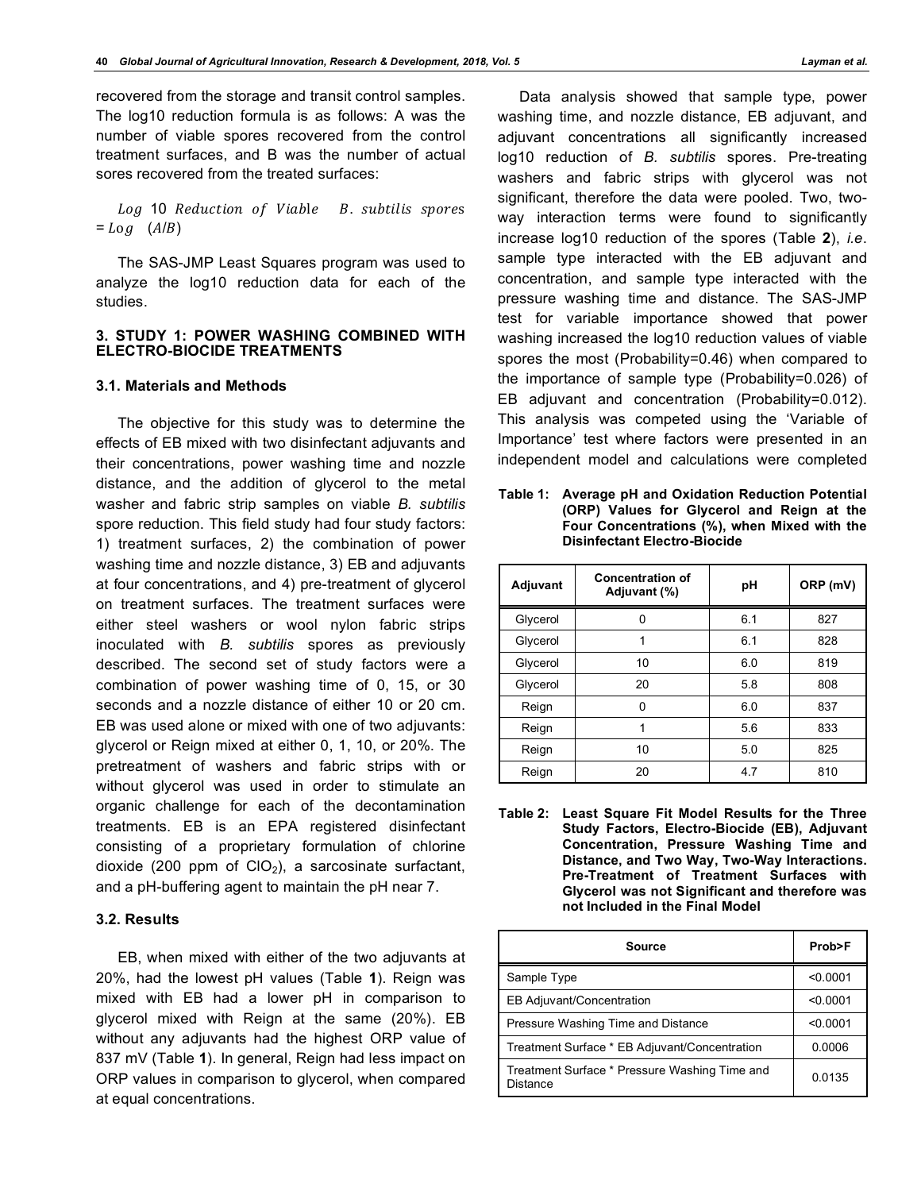recovered from the storage and transit control samples. The log10 reduction formula is as follows: A was the number of viable spores recovered from the control treatment surfaces, and B was the number of actual sores recovered from the treated surfaces:

Log 10 Reduction of Viable B. subtilis spores  $=$   $Log$   $(A/B)$ 

The SAS-JMP Least Squares program was used to analyze the log10 reduction data for each of the studies.

#### **3. STUDY 1: POWER WASHING COMBINED WITH ELECTRO-BIOCIDE TREATMENTS**

# **3.1. Materials and Methods**

The objective for this study was to determine the effects of EB mixed with two disinfectant adjuvants and their concentrations, power washing time and nozzle distance, and the addition of glycerol to the metal washer and fabric strip samples on viable *B. subtilis*  spore reduction. This field study had four study factors: 1) treatment surfaces, 2) the combination of power washing time and nozzle distance, 3) EB and adjuvants at four concentrations, and 4) pre-treatment of glycerol on treatment surfaces. The treatment surfaces were either steel washers or wool nylon fabric strips inoculated with *B. subtilis* spores as previously described. The second set of study factors were a combination of power washing time of 0, 15, or 30 seconds and a nozzle distance of either 10 or 20 cm. EB was used alone or mixed with one of two adjuvants: glycerol or Reign mixed at either 0, 1, 10, or 20%. The pretreatment of washers and fabric strips with or without glycerol was used in order to stimulate an organic challenge for each of the decontamination treatments. EB is an EPA registered disinfectant consisting of a proprietary formulation of chlorine dioxide (200 ppm of  $ClO<sub>2</sub>$ ), a sarcosinate surfactant, and a pH-buffering agent to maintain the pH near 7.

# **3.2. Results**

EB, when mixed with either of the two adjuvants at 20%, had the lowest pH values (Table **1**). Reign was mixed with EB had a lower pH in comparison to glycerol mixed with Reign at the same (20%). EB without any adjuvants had the highest ORP value of 837 mV (Table **1**). In general, Reign had less impact on ORP values in comparison to glycerol, when compared at equal concentrations.

Data analysis showed that sample type, power washing time, and nozzle distance, EB adjuvant, and adjuvant concentrations all significantly increased log10 reduction of *B. subtilis* spores. Pre-treating washers and fabric strips with glycerol was not significant, therefore the data were pooled. Two, twoway interaction terms were found to significantly increase log10 reduction of the spores (Table **2**), *i.e*. sample type interacted with the EB adjuvant and concentration, and sample type interacted with the pressure washing time and distance. The SAS-JMP test for variable importance showed that power washing increased the log10 reduction values of viable spores the most (Probability=0.46) when compared to the importance of sample type (Probability=0.026) of EB adjuvant and concentration (Probability=0.012). This analysis was competed using the 'Variable of Importance' test where factors were presented in an independent model and calculations were completed

**Table 1: Average pH and Oxidation Reduction Potential (ORP) Values for Glycerol and Reign at the Four Concentrations (%), when Mixed with the Disinfectant Electro-Biocide**

| Adjuvant | <b>Concentration of</b><br>Adjuvant (%) | рH  | ORP (mV) |  |
|----------|-----------------------------------------|-----|----------|--|
| Glycerol | 0                                       | 6.1 | 827      |  |
| Glycerol | 1                                       | 6.1 | 828      |  |
| Glycerol | 10                                      | 6.0 | 819      |  |
| Glycerol | 20                                      | 5.8 | 808      |  |
| Reign    | 0                                       | 6.0 | 837      |  |
| Reign    | 1                                       | 5.6 | 833      |  |
| Reign    | 10                                      | 5.0 | 825      |  |
| Reign    | 20                                      | 4.7 | 810      |  |

**Table 2: Least Square Fit Model Results for the Three Study Factors, Electro-Biocide (EB), Adjuvant Concentration, Pressure Washing Time and Distance, and Two Way, Two-Way Interactions. Pre-Treatment of Treatment Surfaces with Glycerol was not Significant and therefore was not Included in the Final Model**

| Source                                                    | Prob>F   |  |
|-----------------------------------------------------------|----------|--|
| Sample Type                                               | < 0.0001 |  |
| <b>EB Adjuvant/Concentration</b>                          | < 0.0001 |  |
| Pressure Washing Time and Distance                        | < 0.0001 |  |
| Treatment Surface * EB Adjuvant/Concentration             | 0.0006   |  |
| Treatment Surface * Pressure Washing Time and<br>Distance | 0.0135   |  |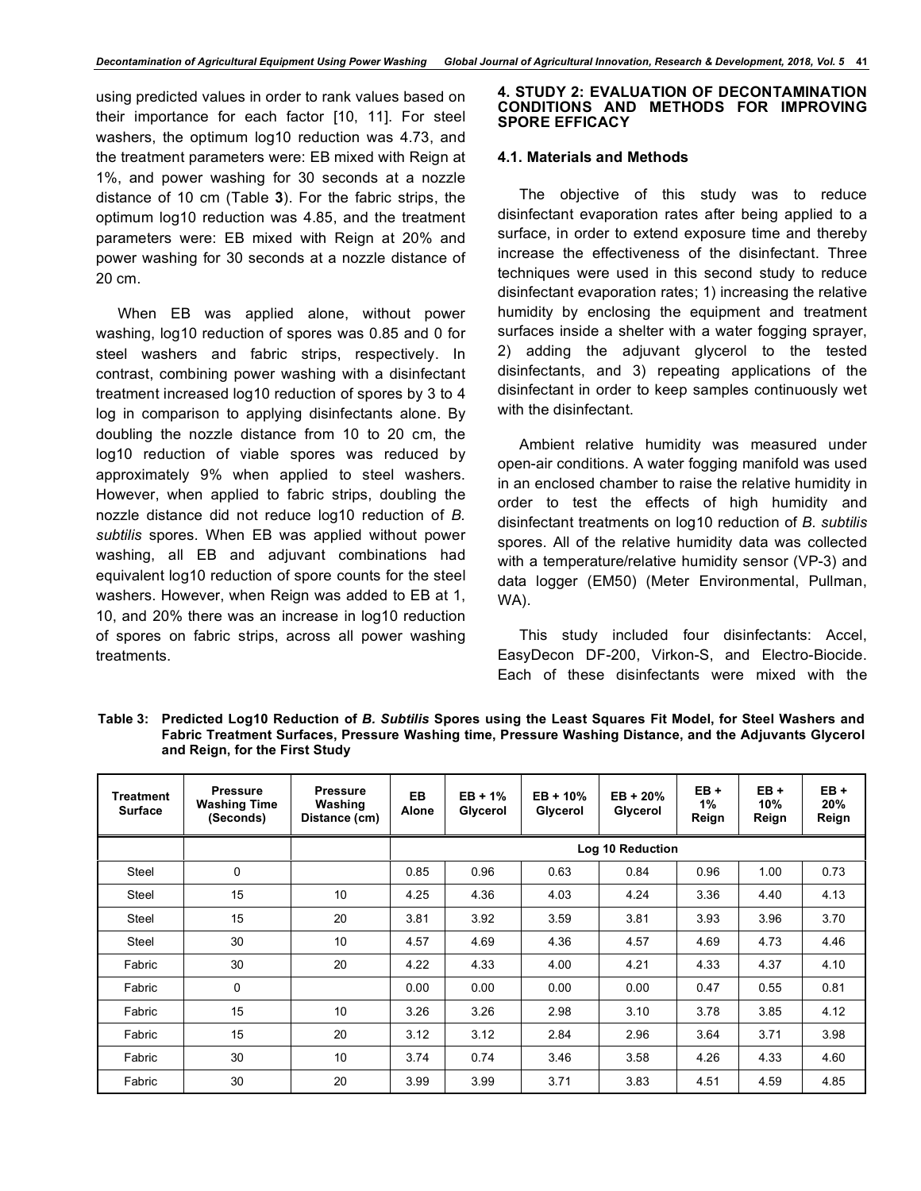using predicted values in order to rank values based on their importance for each factor [10, 11]. For steel washers, the optimum log10 reduction was 4.73, and the treatment parameters were: EB mixed with Reign at 1%, and power washing for 30 seconds at a nozzle distance of 10 cm (Table **3**). For the fabric strips, the optimum log10 reduction was 4.85, and the treatment parameters were: EB mixed with Reign at 20% and power washing for 30 seconds at a nozzle distance of 20 cm.

When EB was applied alone, without power washing, log10 reduction of spores was 0.85 and 0 for steel washers and fabric strips, respectively. In contrast, combining power washing with a disinfectant treatment increased log10 reduction of spores by 3 to 4 log in comparison to applying disinfectants alone. By doubling the nozzle distance from 10 to 20 cm, the log10 reduction of viable spores was reduced by approximately 9% when applied to steel washers. However, when applied to fabric strips, doubling the nozzle distance did not reduce log10 reduction of *B. subtilis* spores. When EB was applied without power washing, all EB and adjuvant combinations had equivalent log10 reduction of spore counts for the steel washers. However, when Reign was added to EB at 1, 10, and 20% there was an increase in log10 reduction of spores on fabric strips, across all power washing treatments.

#### **4. STUDY 2: EVALUATION OF DECONTAMINATION CONDITIONS AND METHODS FOR IMPROVING SPORE EFFICACY**

# **4.1. Materials and Methods**

The objective of this study was to reduce disinfectant evaporation rates after being applied to a surface, in order to extend exposure time and thereby increase the effectiveness of the disinfectant. Three techniques were used in this second study to reduce disinfectant evaporation rates; 1) increasing the relative humidity by enclosing the equipment and treatment surfaces inside a shelter with a water fogging sprayer, 2) adding the adjuvant glycerol to the tested disinfectants, and 3) repeating applications of the disinfectant in order to keep samples continuously wet with the disinfectant.

Ambient relative humidity was measured under open-air conditions. A water fogging manifold was used in an enclosed chamber to raise the relative humidity in order to test the effects of high humidity and disinfectant treatments on log10 reduction of *B. subtilis* spores. All of the relative humidity data was collected with a temperature/relative humidity sensor (VP-3) and data logger (EM50) (Meter Environmental, Pullman, WA).

This study included four disinfectants: Accel, EasyDecon DF-200, Virkon-S, and Electro-Biocide. Each of these disinfectants were mixed with the

**Table 3: Predicted Log10 Reduction of** *B. Subtilis* **Spores using the Least Squares Fit Model, for Steel Washers and Fabric Treatment Surfaces, Pressure Washing time, Pressure Washing Distance, and the Adjuvants Glycerol and Reign, for the First Study**

| Treatment<br><b>Surface</b> | <b>Pressure</b><br><b>Washing Time</b><br>(Seconds) | <b>Pressure</b><br>Washing<br>Distance (cm) | EB.<br>Alone | $EB + 1%$<br>Glycerol | $EB + 10%$<br>Glycerol | $EB + 20%$<br>Glycerol | $EB +$<br>1%<br>Reign | $EB +$<br>10%<br>Reign | $EB +$<br>20%<br>Reign |
|-----------------------------|-----------------------------------------------------|---------------------------------------------|--------------|-----------------------|------------------------|------------------------|-----------------------|------------------------|------------------------|
|                             |                                                     |                                             |              | Log 10 Reduction      |                        |                        |                       |                        |                        |
| <b>Steel</b>                | 0                                                   |                                             | 0.85         | 0.96                  | 0.63                   | 0.84                   | 0.96                  | 1.00                   | 0.73                   |
| Steel                       | 15                                                  | 10                                          | 4.25         | 4.36                  | 4.03                   | 4.24                   | 3.36                  | 4.40                   | 4.13                   |
| Steel                       | 15                                                  | 20                                          | 3.81         | 3.92                  | 3.59                   | 3.81                   | 3.93                  | 3.96                   | 3.70                   |
| Steel                       | 30                                                  | 10                                          | 4.57         | 4.69                  | 4.36                   | 4.57                   | 4.69                  | 4.73                   | 4.46                   |
| Fabric                      | 30                                                  | 20                                          | 4.22         | 4.33                  | 4.00                   | 4.21                   | 4.33                  | 4.37                   | 4.10                   |
| Fabric                      | $\mathbf 0$                                         |                                             | 0.00         | 0.00                  | 0.00                   | 0.00                   | 0.47                  | 0.55                   | 0.81                   |
| Fabric                      | 15                                                  | 10                                          | 3.26         | 3.26                  | 2.98                   | 3.10                   | 3.78                  | 3.85                   | 4.12                   |
| Fabric                      | 15                                                  | 20                                          | 3.12         | 3.12                  | 2.84                   | 2.96                   | 3.64                  | 3.71                   | 3.98                   |
| Fabric                      | 30                                                  | 10                                          | 3.74         | 0.74                  | 3.46                   | 3.58                   | 4.26                  | 4.33                   | 4.60                   |
| Fabric                      | 30                                                  | 20                                          | 3.99         | 3.99                  | 3.71                   | 3.83                   | 4.51                  | 4.59                   | 4.85                   |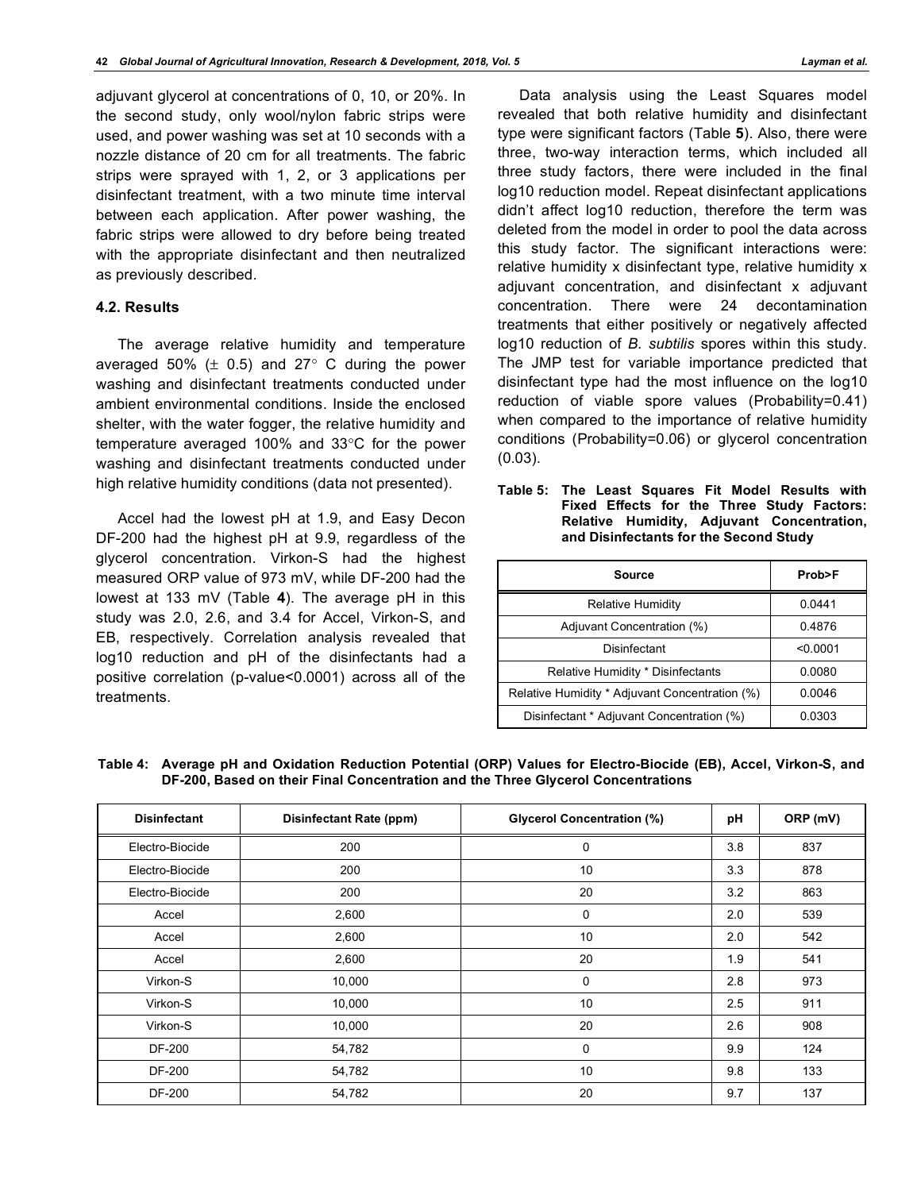adjuvant glycerol at concentrations of 0, 10, or 20%. In the second study, only wool/nylon fabric strips were used, and power washing was set at 10 seconds with a nozzle distance of 20 cm for all treatments. The fabric strips were sprayed with 1, 2, or 3 applications per disinfectant treatment, with a two minute time interval between each application. After power washing, the fabric strips were allowed to dry before being treated with the appropriate disinfectant and then neutralized as previously described.

# **4.2. Results**

The average relative humidity and temperature averaged 50%  $(\pm 0.5)$  and 27° C during the power washing and disinfectant treatments conducted under ambient environmental conditions. Inside the enclosed shelter, with the water fogger, the relative humidity and temperature averaged 100% and 33°C for the power washing and disinfectant treatments conducted under high relative humidity conditions (data not presented).

Accel had the lowest pH at 1.9, and Easy Decon DF-200 had the highest pH at 9.9, regardless of the glycerol concentration. Virkon-S had the highest measured ORP value of 973 mV, while DF-200 had the lowest at 133 mV (Table **4**). The average pH in this study was 2.0, 2.6, and 3.4 for Accel, Virkon-S, and EB, respectively. Correlation analysis revealed that log10 reduction and pH of the disinfectants had a positive correlation (p-value<0.0001) across all of the treatments.

Data analysis using the Least Squares model revealed that both relative humidity and disinfectant type were significant factors (Table **5**). Also, there were three, two-way interaction terms, which included all three study factors, there were included in the final log10 reduction model. Repeat disinfectant applications didn't affect log10 reduction, therefore the term was deleted from the model in order to pool the data across this study factor. The significant interactions were: relative humidity x disinfectant type, relative humidity x adjuvant concentration, and disinfectant x adjuvant concentration. There were 24 decontamination treatments that either positively or negatively affected log10 reduction of *B. subtilis* spores within this study. The JMP test for variable importance predicted that disinfectant type had the most influence on the log10 reduction of viable spore values (Probability=0.41) when compared to the importance of relative humidity conditions (Probability=0.06) or glycerol concentration (0.03).

**Table 5: The Least Squares Fit Model Results with Fixed Effects for the Three Study Factors: Relative Humidity, Adjuvant Concentration, and Disinfectants for the Second Study**

| Source                                         | Prob>F   |
|------------------------------------------------|----------|
| <b>Relative Humidity</b>                       | 0.0441   |
| Adjuvant Concentration (%)                     | 0.4876   |
| Disinfectant                                   | < 0.0001 |
| Relative Humidity * Disinfectants              | 0.0080   |
| Relative Humidity * Adjuvant Concentration (%) | 0.0046   |
| Disinfectant * Adjuvant Concentration (%)      | 0.0303   |

**Table 4: Average pH and Oxidation Reduction Potential (ORP) Values for Electro-Biocide (EB), Accel, Virkon-S, and DF-200, Based on their Final Concentration and the Three Glycerol Concentrations**

| <b>Disinfectant</b> | <b>Disinfectant Rate (ppm)</b> | <b>Glycerol Concentration (%)</b> | pH  | ORP (mV) |
|---------------------|--------------------------------|-----------------------------------|-----|----------|
| Electro-Biocide     | 200                            | 0                                 | 3.8 | 837      |
| Electro-Biocide     | 200                            | 10                                | 3.3 | 878      |
| Electro-Biocide     | 200                            | 20                                | 3.2 | 863      |
| Accel               | 2,600                          | 0                                 | 2.0 | 539      |
| Accel               | 2,600                          | 10                                | 2.0 | 542      |
| Accel               | 2,600                          | 20                                | 1.9 | 541      |
| Virkon-S            | 10,000                         | 0                                 | 2.8 | 973      |
| Virkon-S            | 10,000                         | 10                                | 2.5 | 911      |
| Virkon-S            | 10,000                         | 20                                | 2.6 | 908      |
| <b>DF-200</b>       | 54,782                         | $\mathbf 0$                       | 9.9 | 124      |
| <b>DF-200</b>       | 54,782                         | 10                                | 9.8 | 133      |
| DF-200              | 54,782                         | 20                                | 9.7 | 137      |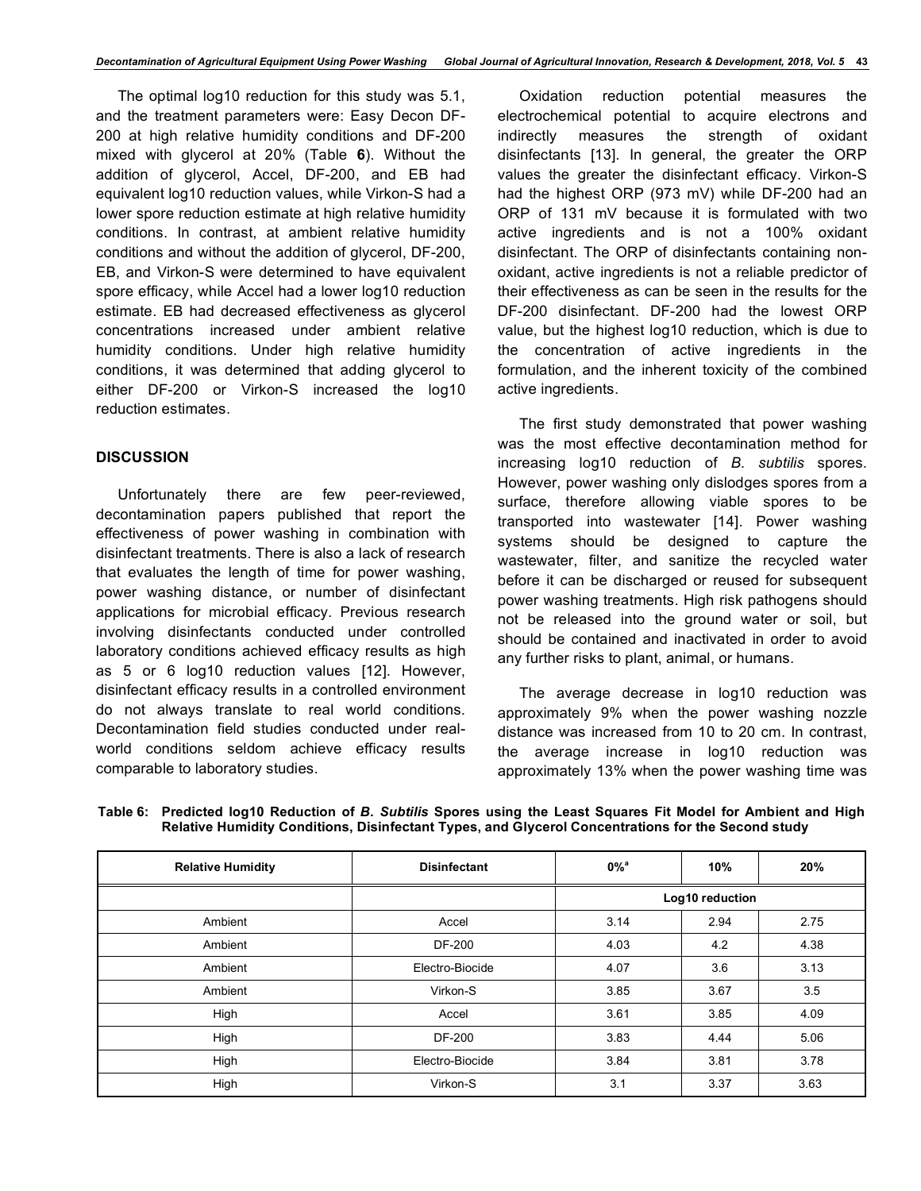The optimal log10 reduction for this study was 5.1, and the treatment parameters were: Easy Decon DF-200 at high relative humidity conditions and DF-200 mixed with glycerol at 20% (Table **6**). Without the addition of glycerol, Accel, DF-200, and EB had equivalent log10 reduction values, while Virkon-S had a lower spore reduction estimate at high relative humidity conditions. In contrast, at ambient relative humidity conditions and without the addition of glycerol, DF-200, EB, and Virkon-S were determined to have equivalent spore efficacy, while Accel had a lower log10 reduction estimate. EB had decreased effectiveness as glycerol concentrations increased under ambient relative humidity conditions. Under high relative humidity conditions, it was determined that adding glycerol to either DF-200 or Virkon-S increased the log10 reduction estimates.

# **DISCUSSION**

Unfortunately there are few peer-reviewed, decontamination papers published that report the effectiveness of power washing in combination with disinfectant treatments. There is also a lack of research that evaluates the length of time for power washing, power washing distance, or number of disinfectant applications for microbial efficacy. Previous research involving disinfectants conducted under controlled laboratory conditions achieved efficacy results as high as 5 or 6 log10 reduction values [12]. However, disinfectant efficacy results in a controlled environment do not always translate to real world conditions. Decontamination field studies conducted under realworld conditions seldom achieve efficacy results comparable to laboratory studies.

Oxidation reduction potential measures the electrochemical potential to acquire electrons and indirectly measures the strength of oxidant disinfectants [13]. In general, the greater the ORP values the greater the disinfectant efficacy. Virkon-S had the highest ORP (973 mV) while DF-200 had an ORP of 131 mV because it is formulated with two active ingredients and is not a 100% oxidant disinfectant. The ORP of disinfectants containing nonoxidant, active ingredients is not a reliable predictor of their effectiveness as can be seen in the results for the DF-200 disinfectant. DF-200 had the lowest ORP value, but the highest log10 reduction, which is due to the concentration of active ingredients in the formulation, and the inherent toxicity of the combined active ingredients.

The first study demonstrated that power washing was the most effective decontamination method for increasing log10 reduction of *B. subtilis* spores. However, power washing only dislodges spores from a surface, therefore allowing viable spores to be transported into wastewater [14]. Power washing systems should be designed to capture the wastewater, filter, and sanitize the recycled water before it can be discharged or reused for subsequent power washing treatments. High risk pathogens should not be released into the ground water or soil, but should be contained and inactivated in order to avoid any further risks to plant, animal, or humans.

The average decrease in log10 reduction was approximately 9% when the power washing nozzle distance was increased from 10 to 20 cm. In contrast, the average increase in log10 reduction was approximately 13% when the power washing time was

| <b>Relative Humidity</b> | <b>Disinfectant</b> | $0\%$ <sup>a</sup> | 10%  |      |  |
|--------------------------|---------------------|--------------------|------|------|--|
|                          |                     | Log10 reduction    |      |      |  |
| Ambient                  | Accel               | 3.14               | 2.94 | 2.75 |  |
| Ambient                  | <b>DF-200</b>       | 4.03               | 4.2  | 4.38 |  |
| Ambient                  | Electro-Biocide     | 4.07               | 3.6  | 3.13 |  |
| Ambient                  | Virkon-S            | 3.85               | 3.67 | 3.5  |  |
| High                     | Accel               | 3.61               | 3.85 | 4.09 |  |
| High                     | <b>DF-200</b>       | 3.83               | 4.44 | 5.06 |  |
| High                     | Electro-Biocide     | 3.84               | 3.81 | 3.78 |  |
| High                     | Virkon-S            | 3.1                | 3.37 | 3.63 |  |

**Table 6: Predicted log10 Reduction of** *B. Subtilis* **Spores using the Least Squares Fit Model for Ambient and High Relative Humidity Conditions, Disinfectant Types, and Glycerol Concentrations for the Second study**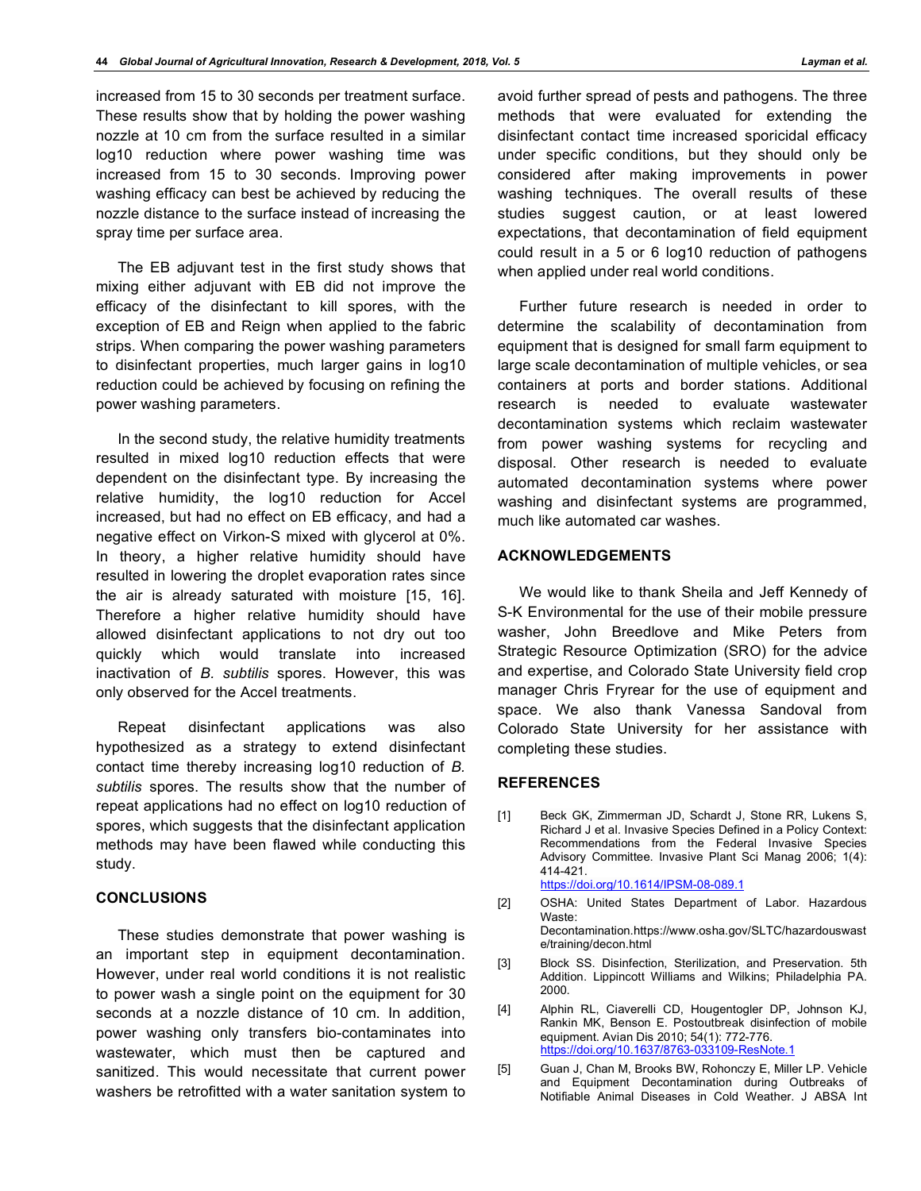increased from 15 to 30 seconds per treatment surface. These results show that by holding the power washing nozzle at 10 cm from the surface resulted in a similar log10 reduction where power washing time was increased from 15 to 30 seconds. Improving power washing efficacy can best be achieved by reducing the nozzle distance to the surface instead of increasing the spray time per surface area.

The EB adjuvant test in the first study shows that mixing either adjuvant with EB did not improve the efficacy of the disinfectant to kill spores, with the exception of EB and Reign when applied to the fabric strips. When comparing the power washing parameters to disinfectant properties, much larger gains in log10 reduction could be achieved by focusing on refining the power washing parameters.

In the second study, the relative humidity treatments resulted in mixed log10 reduction effects that were dependent on the disinfectant type. By increasing the relative humidity, the log10 reduction for Accel increased, but had no effect on EB efficacy, and had a negative effect on Virkon-S mixed with glycerol at 0%. In theory, a higher relative humidity should have resulted in lowering the droplet evaporation rates since the air is already saturated with moisture [15, 16]. Therefore a higher relative humidity should have allowed disinfectant applications to not dry out too quickly which would translate into increased inactivation of *B. subtilis* spores. However, this was only observed for the Accel treatments.

Repeat disinfectant applications was also hypothesized as a strategy to extend disinfectant contact time thereby increasing log10 reduction of *B. subtilis* spores. The results show that the number of repeat applications had no effect on log10 reduction of spores, which suggests that the disinfectant application methods may have been flawed while conducting this study.

# **CONCLUSIONS**

These studies demonstrate that power washing is an important step in equipment decontamination. However, under real world conditions it is not realistic to power wash a single point on the equipment for 30 seconds at a nozzle distance of 10 cm. In addition, power washing only transfers bio-contaminates into wastewater, which must then be captured and sanitized. This would necessitate that current power washers be retrofitted with a water sanitation system to

avoid further spread of pests and pathogens. The three methods that were evaluated for extending the disinfectant contact time increased sporicidal efficacy under specific conditions, but they should only be considered after making improvements in power washing techniques. The overall results of these studies suggest caution, or at least lowered expectations, that decontamination of field equipment could result in a 5 or 6 log10 reduction of pathogens when applied under real world conditions.

Further future research is needed in order to determine the scalability of decontamination from equipment that is designed for small farm equipment to large scale decontamination of multiple vehicles, or sea containers at ports and border stations. Additional research is needed to evaluate wastewater decontamination systems which reclaim wastewater from power washing systems for recycling and disposal. Other research is needed to evaluate automated decontamination systems where power washing and disinfectant systems are programmed, much like automated car washes.

# **ACKNOWLEDGEMENTS**

We would like to thank Sheila and Jeff Kennedy of S-K Environmental for the use of their mobile pressure washer, John Breedlove and Mike Peters from Strategic Resource Optimization (SRO) for the advice and expertise, and Colorado State University field crop manager Chris Fryrear for the use of equipment and space. We also thank Vanessa Sandoval from Colorado State University for her assistance with completing these studies.

#### **REFERENCES**

- [1] Beck GK, Zimmerman JD, Schardt J, Stone RR, Lukens S, Richard J et al. Invasive Species Defined in a Policy Context: Recommendations from the Federal Invasive Species Advisory Committee. Invasive Plant Sci Manag 2006; 1(4): 414-421. https://doi.org/10.1614/IPSM-08-089.1
- [2] OSHA: United States Department of Labor. Hazardous Waste: Decontamination.https://www.osha.gov/SLTC/hazardouswast e/training/decon.html
- [3] Block SS. Disinfection, Sterilization, and Preservation. 5th Addition. Lippincott Williams and Wilkins; Philadelphia PA. 2000.
- [4] Alphin RL, Ciaverelli CD, Hougentogler DP, Johnson KJ, Rankin MK, Benson E. Postoutbreak disinfection of mobile equipment. Avian Dis 2010; 54(1): 772-776. https://doi.org/10.1637/8763-033109-ResNote.1
- [5] Guan J, Chan M, Brooks BW, Rohonczy E, Miller LP. Vehicle and Equipment Decontamination during Outbreaks of Notifiable Animal Diseases in Cold Weather. J ABSA Int